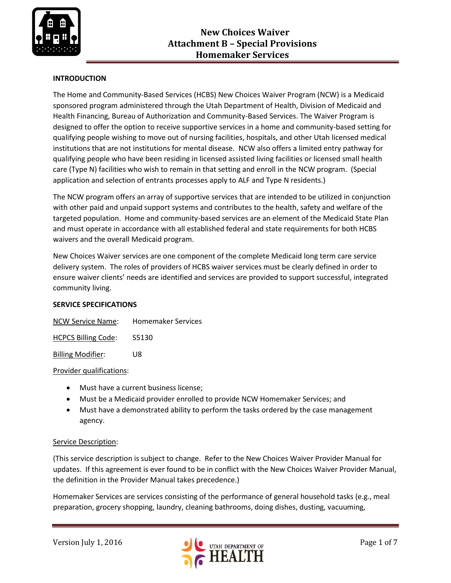

# **INTRODUCTION**

The Home and Community-Based Services (HCBS) New Choices Waiver Program (NCW) is a Medicaid sponsored program administered through the Utah Department of Health, Division of Medicaid and Health Financing, Bureau of Authorization and Community-Based Services. The Waiver Program is designed to offer the option to receive supportive services in a home and community-based setting for qualifying people wishing to move out of nursing facilities, hospitals, and other Utah licensed medical institutions that are not institutions for mental disease. NCW also offers a limited entry pathway for qualifying people who have been residing in licensed assisted living facilities or licensed small health care (Type N) facilities who wish to remain in that setting and enroll in the NCW program. (Special application and selection of entrants processes apply to ALF and Type N residents.)

The NCW program offers an array of supportive services that are intended to be utilized in conjunction with other paid and unpaid support systems and contributes to the health, safety and welfare of the targeted population. Home and community-based services are an element of the Medicaid State Plan and must operate in accordance with all established federal and state requirements for both HCBS waivers and the overall Medicaid program.

New Choices Waiver services are one component of the complete Medicaid long term care service delivery system. The roles of providers of HCBS waiver services must be clearly defined in order to ensure waiver clients' needs are identified and services are provided to support successful, integrated community living.

### **SERVICE SPECIFICATIONS**

| <b>NCW Service Name:</b>   | <b>Homemaker Services</b> |
|----------------------------|---------------------------|
| <b>HCPCS Billing Code:</b> | S5130                     |

Billing Modifier: U8

#### Provider qualifications:

- Must have a current business license;
- Must be a Medicaid provider enrolled to provide NCW Homemaker Services; and
- Must have a demonstrated ability to perform the tasks ordered by the case management agency.

#### Service Description:

(This service description is subject to change. Refer to the New Choices Waiver Provider Manual for updates. If this agreement is ever found to be in conflict with the New Choices Waiver Provider Manual, the definition in the Provider Manual takes precedence.)

Homemaker Services are services consisting of the performance of general household tasks (e.g., meal preparation, grocery shopping, laundry, cleaning bathrooms, doing dishes, dusting, vacuuming,

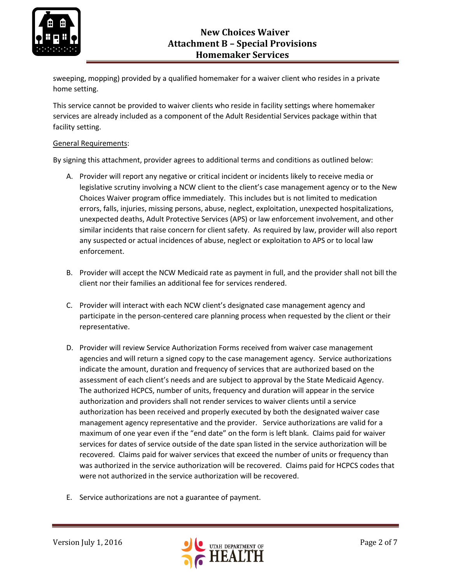

sweeping, mopping) provided by a qualified homemaker for a waiver client who resides in a private home setting.

This service cannot be provided to waiver clients who reside in facility settings where homemaker services are already included as a component of the Adult Residential Services package within that facility setting.

#### General Requirements:

By signing this attachment, provider agrees to additional terms and conditions as outlined below:

- A. Provider will report any negative or critical incident or incidents likely to receive media or legislative scrutiny involving a NCW client to the client's case management agency or to the New Choices Waiver program office immediately. This includes but is not limited to medication errors, falls, injuries, missing persons, abuse, neglect, exploitation, unexpected hospitalizations, unexpected deaths, Adult Protective Services (APS) or law enforcement involvement, and other similar incidents that raise concern for client safety. As required by law, provider will also report any suspected or actual incidences of abuse, neglect or exploitation to APS or to local law enforcement.
- B. Provider will accept the NCW Medicaid rate as payment in full, and the provider shall not bill the client nor their families an additional fee for services rendered.
- C. Provider will interact with each NCW client's designated case management agency and participate in the person-centered care planning process when requested by the client or their representative.
- D. Provider will review Service Authorization Forms received from waiver case management agencies and will return a signed copy to the case management agency. Service authorizations indicate the amount, duration and frequency of services that are authorized based on the assessment of each client's needs and are subject to approval by the State Medicaid Agency. The authorized HCPCS, number of units, frequency and duration will appear in the service authorization and providers shall not render services to waiver clients until a service authorization has been received and properly executed by both the designated waiver case management agency representative and the provider. Service authorizations are valid for a maximum of one year even if the "end date" on the form is left blank. Claims paid for waiver services for dates of service outside of the date span listed in the service authorization will be recovered. Claims paid for waiver services that exceed the number of units or frequency than was authorized in the service authorization will be recovered. Claims paid for HCPCS codes that were not authorized in the service authorization will be recovered.
- E. Service authorizations are not a guarantee of payment.

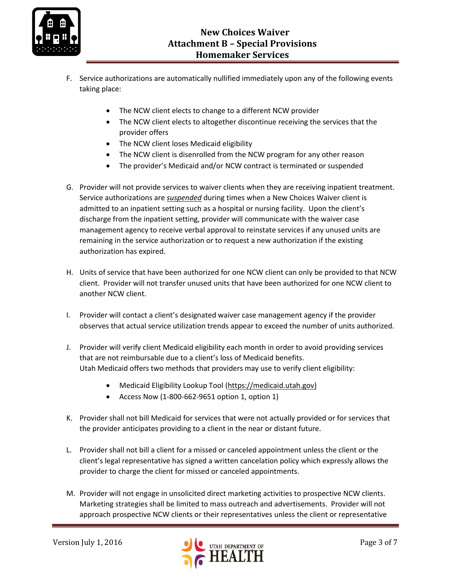

- F. Service authorizations are automatically nullified immediately upon any of the following events taking place:
	- The NCW client elects to change to a different NCW provider
	- The NCW client elects to altogether discontinue receiving the services that the provider offers
	- The NCW client loses Medicaid eligibility
	- The NCW client is disenrolled from the NCW program for any other reason
	- The provider's Medicaid and/or NCW contract is terminated or suspended
- G. Provider will not provide services to waiver clients when they are receiving inpatient treatment. Service authorizations are *suspended* during times when a New Choices Waiver client is admitted to an inpatient setting such as a hospital or nursing facility. Upon the client's discharge from the inpatient setting, provider will communicate with the waiver case management agency to receive verbal approval to reinstate services if any unused units are remaining in the service authorization or to request a new authorization if the existing authorization has expired.
- H. Units of service that have been authorized for one NCW client can only be provided to that NCW client. Provider will not transfer unused units that have been authorized for one NCW client to another NCW client.
- I. Provider will contact a client's designated waiver case management agency if the provider observes that actual service utilization trends appear to exceed the number of units authorized.
- J. Provider will verify client Medicaid eligibility each month in order to avoid providing services that are not reimbursable due to a client's loss of Medicaid benefits. Utah Medicaid offers two methods that providers may use to verify client eligibility:
	- Medicaid Eligibility Lookup Tool [\(https://medicaid.utah.gov\)](https://medicaid.utah.gov/)
	- Access Now (1-800-662-9651 option 1, option 1)
- K. Provider shall not bill Medicaid for services that were not actually provided or for services that the provider anticipates providing to a client in the near or distant future.
- L. Provider shall not bill a client for a missed or canceled appointment unless the client or the client's legal representative has signed a written cancelation policy which expressly allows the provider to charge the client for missed or canceled appointments.
- M. Provider will not engage in unsolicited direct marketing activities to prospective NCW clients. Marketing strategies shall be limited to mass outreach and advertisements. Provider will not approach prospective NCW clients or their representatives unless the client or representative

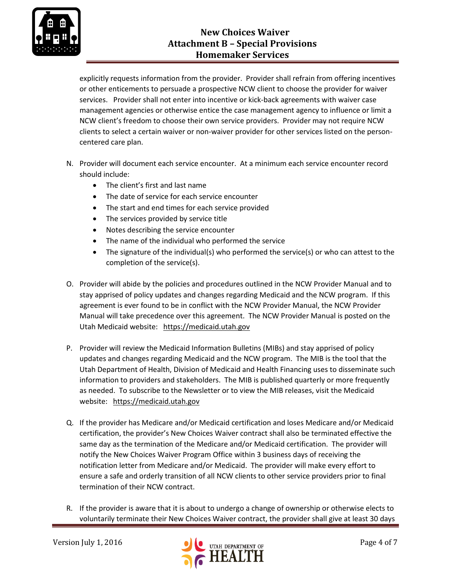

# **New Choices Waiver Attachment B – Special Provisions Homemaker Services**

explicitly requests information from the provider. Provider shall refrain from offering incentives or other enticements to persuade a prospective NCW client to choose the provider for waiver services. Provider shall not enter into incentive or kick-back agreements with waiver case management agencies or otherwise entice the case management agency to influence or limit a NCW client's freedom to choose their own service providers. Provider may not require NCW clients to select a certain waiver or non-waiver provider for other services listed on the personcentered care plan.

- N. Provider will document each service encounter. At a minimum each service encounter record should include:
	- The client's first and last name
	- The date of service for each service encounter
	- The start and end times for each service provided
	- The services provided by service title
	- Notes describing the service encounter
	- The name of the individual who performed the service
	- The signature of the individual(s) who performed the service(s) or who can attest to the completion of the service(s).
- O. Provider will abide by the policies and procedures outlined in the NCW Provider Manual and to stay apprised of policy updates and changes regarding Medicaid and the NCW program. If this agreement is ever found to be in conflict with the NCW Provider Manual, the NCW Provider Manual will take precedence over this agreement. The NCW Provider Manual is posted on the Utah Medicaid website: [https://medicaid.utah.gov](https://medicaid.utah.gov/)
- P. Provider will review the Medicaid Information Bulletins (MIBs) and stay apprised of policy updates and changes regarding Medicaid and the NCW program. The MIB is the tool that the Utah Department of Health, Division of Medicaid and Health Financing uses to disseminate such information to providers and stakeholders. The MIB is published quarterly or more frequently as needed. To subscribe to the Newsletter or to view the MIB releases, visit the Medicaid website: [https://medicaid.utah.gov](https://medicaid.utah.gov/)
- Q. If the provider has Medicare and/or Medicaid certification and loses Medicare and/or Medicaid certification, the provider's New Choices Waiver contract shall also be terminated effective the same day as the termination of the Medicare and/or Medicaid certification. The provider will notify the New Choices Waiver Program Office within 3 business days of receiving the notification letter from Medicare and/or Medicaid. The provider will make every effort to ensure a safe and orderly transition of all NCW clients to other service providers prior to final termination of their NCW contract.
- R. If the provider is aware that it is about to undergo a change of ownership or otherwise elects to voluntarily terminate their New Choices Waiver contract, the provider shall give at least 30 days

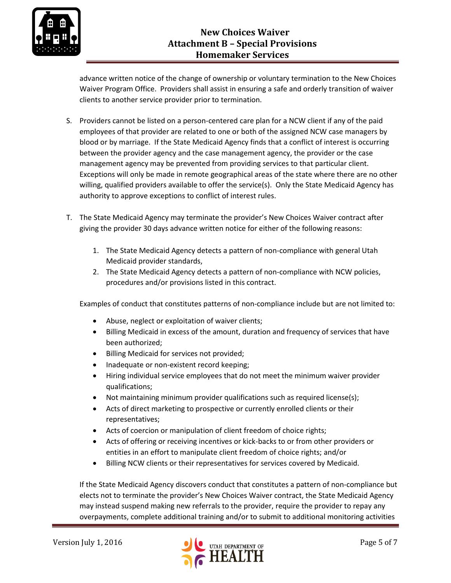

advance written notice of the change of ownership or voluntary termination to the New Choices Waiver Program Office. Providers shall assist in ensuring a safe and orderly transition of waiver clients to another service provider prior to termination.

- S. Providers cannot be listed on a person-centered care plan for a NCW client if any of the paid employees of that provider are related to one or both of the assigned NCW case managers by blood or by marriage. If the State Medicaid Agency finds that a conflict of interest is occurring between the provider agency and the case management agency, the provider or the case management agency may be prevented from providing services to that particular client. Exceptions will only be made in remote geographical areas of the state where there are no other willing, qualified providers available to offer the service(s). Only the State Medicaid Agency has authority to approve exceptions to conflict of interest rules.
- T. The State Medicaid Agency may terminate the provider's New Choices Waiver contract after giving the provider 30 days advance written notice for either of the following reasons:
	- 1. The State Medicaid Agency detects a pattern of non-compliance with general Utah Medicaid provider standards,
	- 2. The State Medicaid Agency detects a pattern of non-compliance with NCW policies, procedures and/or provisions listed in this contract.

Examples of conduct that constitutes patterns of non-compliance include but are not limited to:

- Abuse, neglect or exploitation of waiver clients;
- Billing Medicaid in excess of the amount, duration and frequency of services that have been authorized;
- Billing Medicaid for services not provided;
- Inadequate or non-existent record keeping;
- Hiring individual service employees that do not meet the minimum waiver provider qualifications;
- Not maintaining minimum provider qualifications such as required license(s);
- Acts of direct marketing to prospective or currently enrolled clients or their representatives;
- Acts of coercion or manipulation of client freedom of choice rights;
- Acts of offering or receiving incentives or kick-backs to or from other providers or entities in an effort to manipulate client freedom of choice rights; and/or
- Billing NCW clients or their representatives for services covered by Medicaid.

If the State Medicaid Agency discovers conduct that constitutes a pattern of non-compliance but elects not to terminate the provider's New Choices Waiver contract, the State Medicaid Agency may instead suspend making new referrals to the provider, require the provider to repay any overpayments, complete additional training and/or to submit to additional monitoring activities

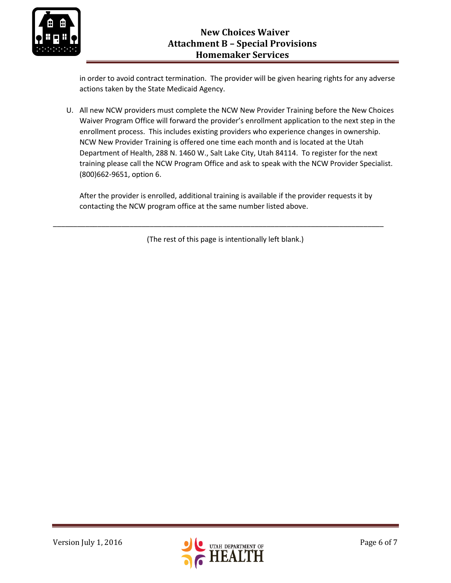

in order to avoid contract termination. The provider will be given hearing rights for any adverse actions taken by the State Medicaid Agency.

U. All new NCW providers must complete the NCW New Provider Training before the New Choices Waiver Program Office will forward the provider's enrollment application to the next step in the enrollment process. This includes existing providers who experience changes in ownership. NCW New Provider Training is offered one time each month and is located at the Utah Department of Health, 288 N. 1460 W., Salt Lake City, Utah 84114. To register for the next training please call the NCW Program Office and ask to speak with the NCW Provider Specialist. (800)662-9651, option 6.

After the provider is enrolled, additional training is available if the provider requests it by contacting the NCW program office at the same number listed above.

(The rest of this page is intentionally left blank.)

\_\_\_\_\_\_\_\_\_\_\_\_\_\_\_\_\_\_\_\_\_\_\_\_\_\_\_\_\_\_\_\_\_\_\_\_\_\_\_\_\_\_\_\_\_\_\_\_\_\_\_\_\_\_\_\_\_\_\_\_\_\_\_\_\_\_\_\_\_\_\_\_\_\_\_\_\_\_\_\_\_\_